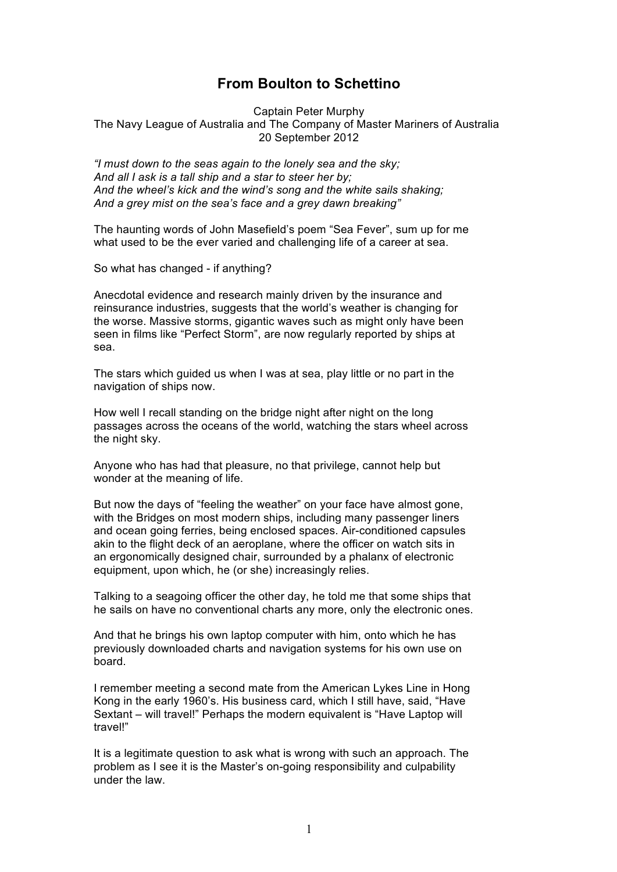## **From Boulton to Schettino**

Captain Peter Murphy The Navy League of Australia and The Company of Master Mariners of Australia 20 September 2012

*"I must down to the seas again to the lonely sea and the sky; And all I ask is a tall ship and a star to steer her by; And the wheel's kick and the wind's song and the white sails shaking; And a grey mist on the sea's face and a grey dawn breaking"*

The haunting words of John Masefield's poem "Sea Fever", sum up for me what used to be the ever varied and challenging life of a career at sea.

So what has changed - if anything?

Anecdotal evidence and research mainly driven by the insurance and reinsurance industries, suggests that the world's weather is changing for the worse. Massive storms, gigantic waves such as might only have been seen in films like "Perfect Storm", are now regularly reported by ships at sea.

The stars which guided us when I was at sea, play little or no part in the navigation of ships now.

How well I recall standing on the bridge night after night on the long passages across the oceans of the world, watching the stars wheel across the night sky.

Anyone who has had that pleasure, no that privilege, cannot help but wonder at the meaning of life.

But now the days of "feeling the weather" on your face have almost gone. with the Bridges on most modern ships, including many passenger liners and ocean going ferries, being enclosed spaces. Air-conditioned capsules akin to the flight deck of an aeroplane, where the officer on watch sits in an ergonomically designed chair, surrounded by a phalanx of electronic equipment, upon which, he (or she) increasingly relies.

Talking to a seagoing officer the other day, he told me that some ships that he sails on have no conventional charts any more, only the electronic ones.

And that he brings his own laptop computer with him, onto which he has previously downloaded charts and navigation systems for his own use on board.

I remember meeting a second mate from the American Lykes Line in Hong Kong in the early 1960's. His business card, which I still have, said, "Have Sextant – will travel!" Perhaps the modern equivalent is "Have Laptop will travel!"

It is a legitimate question to ask what is wrong with such an approach. The problem as I see it is the Master's on-going responsibility and culpability under the law.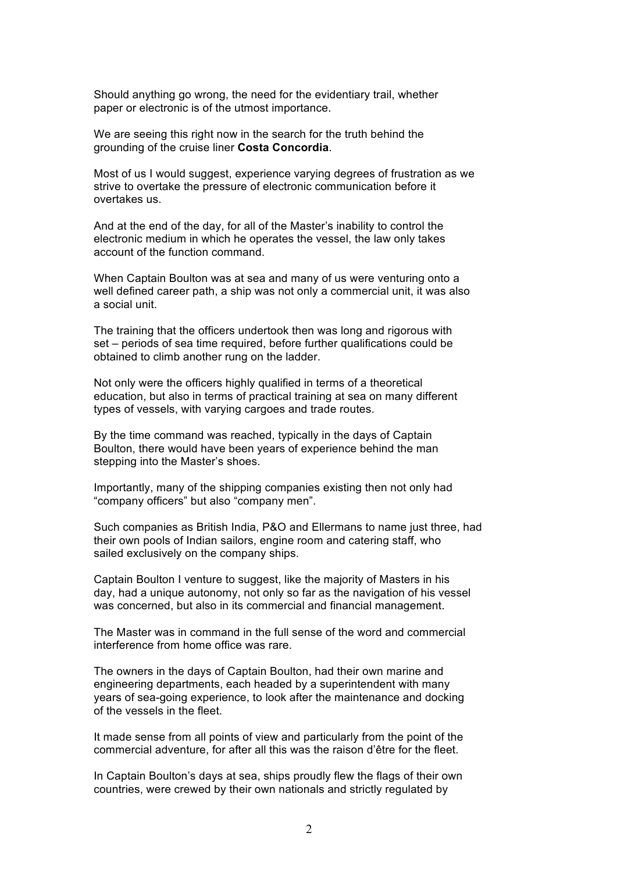Should anything go wrong, the need for the evidentiary trail, whether paper or electronic is of the utmost importance.

We are seeing this right now in the search for the truth behind the grounding of the cruise liner **Costa Concordia**.

Most of us I would suggest, experience varying degrees of frustration as we strive to overtake the pressure of electronic communication before it overtakes us.

And at the end of the day, for all of the Master's inability to control the electronic medium in which he operates the vessel, the law only takes account of the function command.

When Captain Boulton was at sea and many of us were venturing onto a well defined career path, a ship was not only a commercial unit, it was also a social unit.

The training that the officers undertook then was long and rigorous with set – periods of sea time required, before further qualifications could be obtained to climb another rung on the ladder.

Not only were the officers highly qualified in terms of a theoretical education, but also in terms of practical training at sea on many different types of vessels, with varying cargoes and trade routes.

By the time command was reached, typically in the days of Captain Boulton, there would have been years of experience behind the man stepping into the Master's shoes.

Importantly, many of the shipping companies existing then not only had "company officers" but also "company men".

Such companies as British India, P&O and Ellermans to name just three, had their own pools of Indian sailors, engine room and catering staff, who sailed exclusively on the company ships.

Captain Boulton I venture to suggest, like the majority of Masters in his day, had a unique autonomy, not only so far as the navigation of his vessel was concerned, but also in its commercial and financial management.

The Master was in command in the full sense of the word and commercial interference from home office was rare.

The owners in the days of Captain Boulton, had their own marine and engineering departments, each headed by a superintendent with many years of sea-going experience, to look after the maintenance and docking of the vessels in the fleet.

It made sense from all points of view and particularly from the point of the commercial adventure, for after all this was the raison d'être for the fleet.

In Captain Boulton's days at sea, ships proudly flew the flags of their own countries, were crewed by their own nationals and strictly regulated by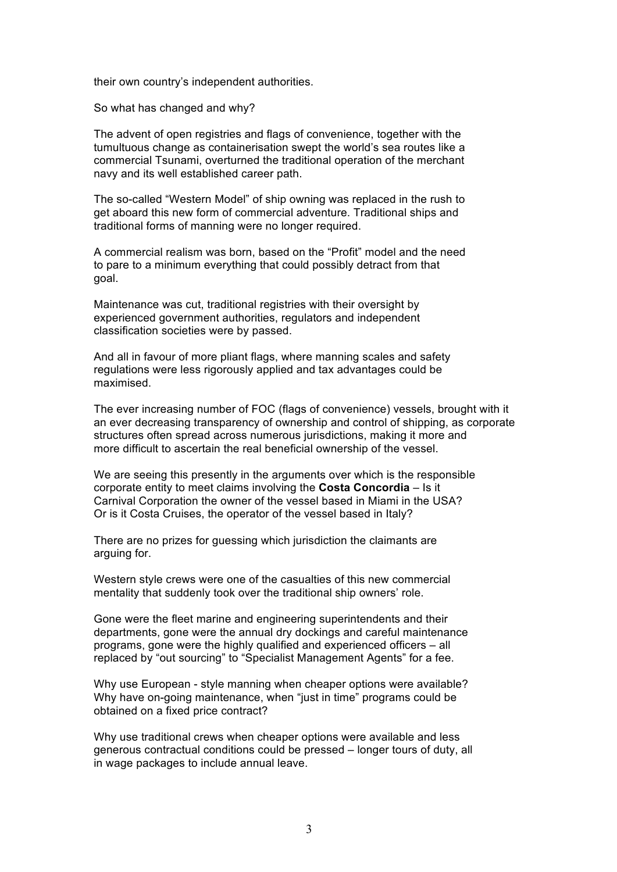their own country's independent authorities.

So what has changed and why?

The advent of open registries and flags of convenience, together with the tumultuous change as containerisation swept the world's sea routes like a commercial Tsunami, overturned the traditional operation of the merchant navy and its well established career path.

The so-called "Western Model" of ship owning was replaced in the rush to get aboard this new form of commercial adventure. Traditional ships and traditional forms of manning were no longer required.

A commercial realism was born, based on the "Profit" model and the need to pare to a minimum everything that could possibly detract from that goal.

Maintenance was cut, traditional registries with their oversight by experienced government authorities, regulators and independent classification societies were by passed.

And all in favour of more pliant flags, where manning scales and safety regulations were less rigorously applied and tax advantages could be maximised.

The ever increasing number of FOC (flags of convenience) vessels, brought with it an ever decreasing transparency of ownership and control of shipping, as corporate structures often spread across numerous jurisdictions, making it more and more difficult to ascertain the real beneficial ownership of the vessel.

We are seeing this presently in the arguments over which is the responsible corporate entity to meet claims involving the **Costa Concordia** – Is it Carnival Corporation the owner of the vessel based in Miami in the USA? Or is it Costa Cruises, the operator of the vessel based in Italy?

There are no prizes for guessing which jurisdiction the claimants are arguing for.

Western style crews were one of the casualties of this new commercial mentality that suddenly took over the traditional ship owners' role.

Gone were the fleet marine and engineering superintendents and their departments, gone were the annual dry dockings and careful maintenance programs, gone were the highly qualified and experienced officers – all replaced by "out sourcing" to "Specialist Management Agents" for a fee.

Why use European - style manning when cheaper options were available? Why have on-going maintenance, when "just in time" programs could be obtained on a fixed price contract?

Why use traditional crews when cheaper options were available and less generous contractual conditions could be pressed – longer tours of duty, all in wage packages to include annual leave.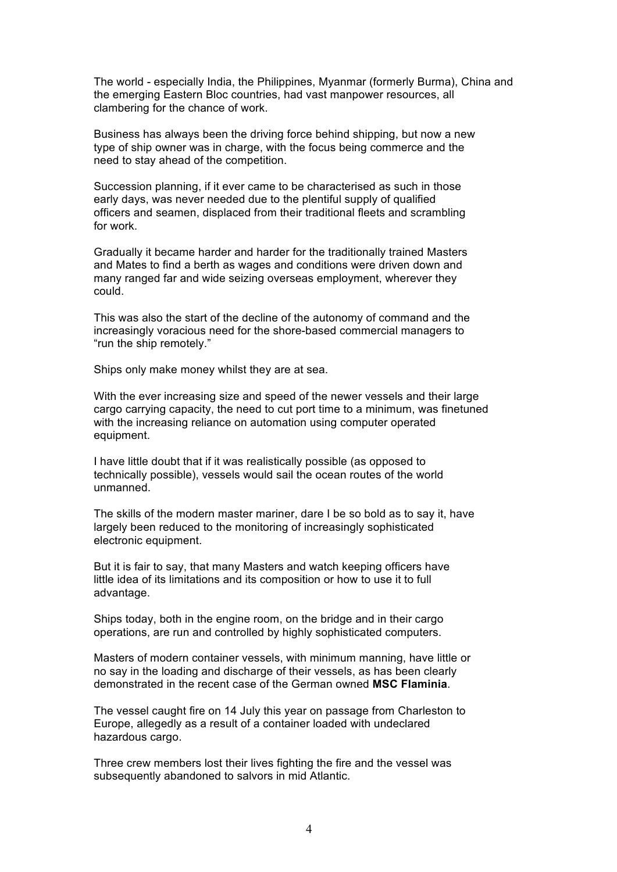The world - especially India, the Philippines, Myanmar (formerly Burma), China and the emerging Eastern Bloc countries, had vast manpower resources, all clambering for the chance of work.

Business has always been the driving force behind shipping, but now a new type of ship owner was in charge, with the focus being commerce and the need to stay ahead of the competition.

Succession planning, if it ever came to be characterised as such in those early days, was never needed due to the plentiful supply of qualified officers and seamen, displaced from their traditional fleets and scrambling for work.

Gradually it became harder and harder for the traditionally trained Masters and Mates to find a berth as wages and conditions were driven down and many ranged far and wide seizing overseas employment, wherever they could.

This was also the start of the decline of the autonomy of command and the increasingly voracious need for the shore-based commercial managers to "run the ship remotely."

Ships only make money whilst they are at sea.

With the ever increasing size and speed of the newer vessels and their large cargo carrying capacity, the need to cut port time to a minimum, was finetuned with the increasing reliance on automation using computer operated equipment.

I have little doubt that if it was realistically possible (as opposed to technically possible), vessels would sail the ocean routes of the world unmanned.

The skills of the modern master mariner, dare I be so bold as to say it, have largely been reduced to the monitoring of increasingly sophisticated electronic equipment.

But it is fair to say, that many Masters and watch keeping officers have little idea of its limitations and its composition or how to use it to full advantage.

Ships today, both in the engine room, on the bridge and in their cargo operations, are run and controlled by highly sophisticated computers.

Masters of modern container vessels, with minimum manning, have little or no say in the loading and discharge of their vessels, as has been clearly demonstrated in the recent case of the German owned **MSC Flaminia**.

The vessel caught fire on 14 July this year on passage from Charleston to Europe, allegedly as a result of a container loaded with undeclared hazardous cargo.

Three crew members lost their lives fighting the fire and the vessel was subsequently abandoned to salvors in mid Atlantic.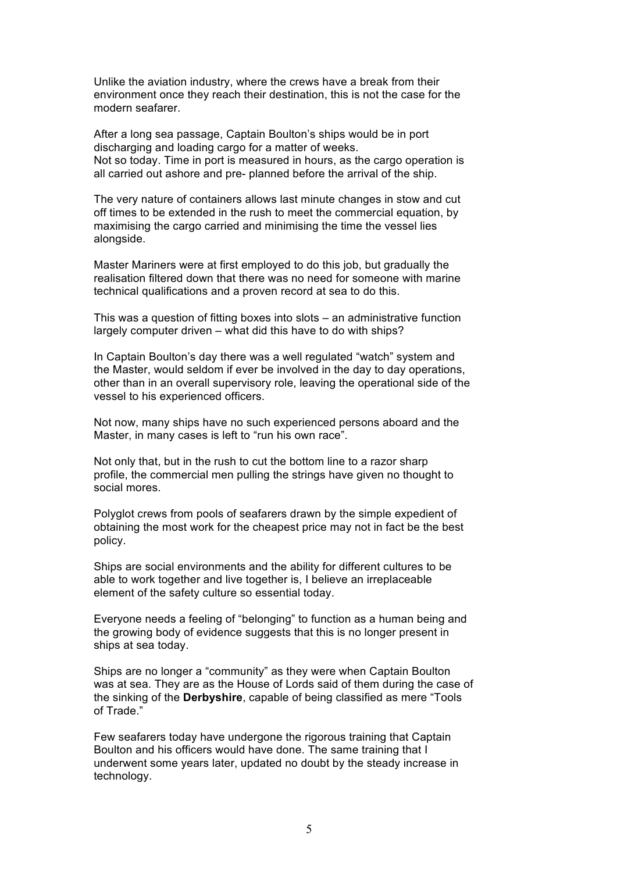Unlike the aviation industry, where the crews have a break from their environment once they reach their destination, this is not the case for the modern seafarer.

After a long sea passage, Captain Boulton's ships would be in port discharging and loading cargo for a matter of weeks. Not so today. Time in port is measured in hours, as the cargo operation is all carried out ashore and pre- planned before the arrival of the ship.

The very nature of containers allows last minute changes in stow and cut off times to be extended in the rush to meet the commercial equation, by maximising the cargo carried and minimising the time the vessel lies alongside.

Master Mariners were at first employed to do this job, but gradually the realisation filtered down that there was no need for someone with marine technical qualifications and a proven record at sea to do this.

This was a question of fitting boxes into slots – an administrative function largely computer driven – what did this have to do with ships?

In Captain Boulton's day there was a well regulated "watch" system and the Master, would seldom if ever be involved in the day to day operations, other than in an overall supervisory role, leaving the operational side of the vessel to his experienced officers.

Not now, many ships have no such experienced persons aboard and the Master, in many cases is left to "run his own race".

Not only that, but in the rush to cut the bottom line to a razor sharp profile, the commercial men pulling the strings have given no thought to social mores.

Polyglot crews from pools of seafarers drawn by the simple expedient of obtaining the most work for the cheapest price may not in fact be the best policy.

Ships are social environments and the ability for different cultures to be able to work together and live together is, I believe an irreplaceable element of the safety culture so essential today.

Everyone needs a feeling of "belonging" to function as a human being and the growing body of evidence suggests that this is no longer present in ships at sea today.

Ships are no longer a "community" as they were when Captain Boulton was at sea. They are as the House of Lords said of them during the case of the sinking of the **Derbyshire**, capable of being classified as mere "Tools of Trade."

Few seafarers today have undergone the rigorous training that Captain Boulton and his officers would have done. The same training that I underwent some years later, updated no doubt by the steady increase in technology.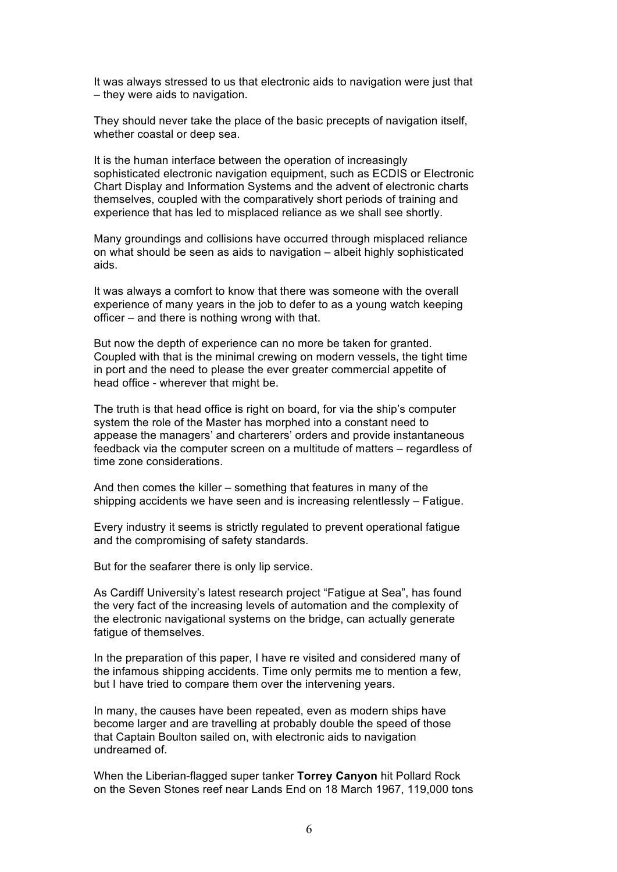It was always stressed to us that electronic aids to navigation were just that – they were aids to navigation.

They should never take the place of the basic precepts of navigation itself, whether coastal or deep sea.

It is the human interface between the operation of increasingly sophisticated electronic navigation equipment, such as ECDIS or Electronic Chart Display and Information Systems and the advent of electronic charts themselves, coupled with the comparatively short periods of training and experience that has led to misplaced reliance as we shall see shortly.

Many groundings and collisions have occurred through misplaced reliance on what should be seen as aids to navigation – albeit highly sophisticated aids.

It was always a comfort to know that there was someone with the overall experience of many years in the job to defer to as a young watch keeping officer – and there is nothing wrong with that.

But now the depth of experience can no more be taken for granted. Coupled with that is the minimal crewing on modern vessels, the tight time in port and the need to please the ever greater commercial appetite of head office - wherever that might be.

The truth is that head office is right on board, for via the ship's computer system the role of the Master has morphed into a constant need to appease the managers' and charterers' orders and provide instantaneous feedback via the computer screen on a multitude of matters – regardless of time zone considerations.

And then comes the killer – something that features in many of the shipping accidents we have seen and is increasing relentlessly – Fatigue.

Every industry it seems is strictly regulated to prevent operational fatigue and the compromising of safety standards.

But for the seafarer there is only lip service.

As Cardiff University's latest research project "Fatigue at Sea", has found the very fact of the increasing levels of automation and the complexity of the electronic navigational systems on the bridge, can actually generate fatigue of themselves.

In the preparation of this paper, I have re visited and considered many of the infamous shipping accidents. Time only permits me to mention a few, but I have tried to compare them over the intervening years.

In many, the causes have been repeated, even as modern ships have become larger and are travelling at probably double the speed of those that Captain Boulton sailed on, with electronic aids to navigation undreamed of.

When the Liberian-flagged super tanker **Torrey Canyon** hit Pollard Rock on the Seven Stones reef near Lands End on 18 March 1967, 119,000 tons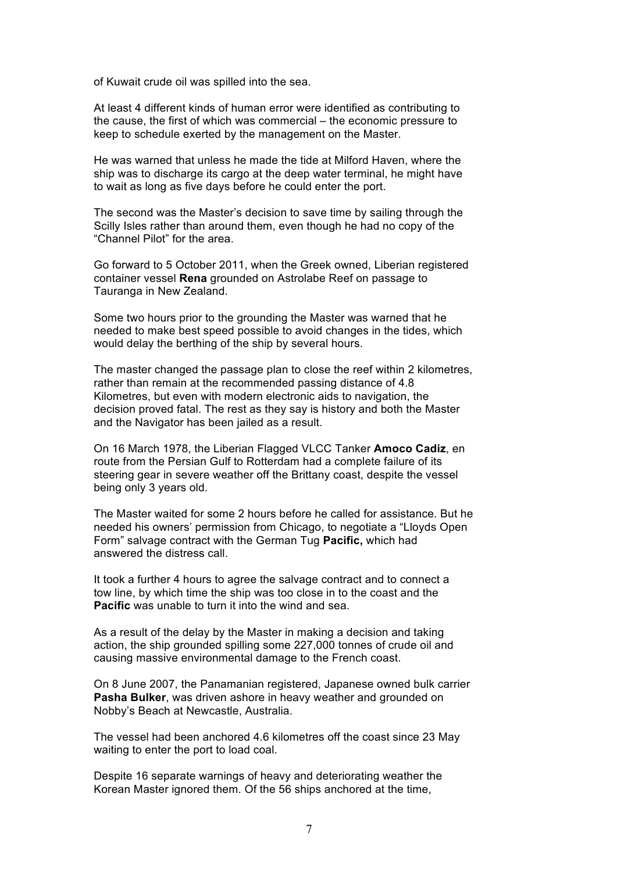of Kuwait crude oil was spilled into the sea.

At least 4 different kinds of human error were identified as contributing to the cause, the first of which was commercial – the economic pressure to keep to schedule exerted by the management on the Master.

He was warned that unless he made the tide at Milford Haven, where the ship was to discharge its cargo at the deep water terminal, he might have to wait as long as five days before he could enter the port.

The second was the Master's decision to save time by sailing through the Scilly Isles rather than around them, even though he had no copy of the "Channel Pilot" for the area.

Go forward to 5 October 2011, when the Greek owned, Liberian registered container vessel **Rena** grounded on Astrolabe Reef on passage to Tauranga in New Zealand.

Some two hours prior to the grounding the Master was warned that he needed to make best speed possible to avoid changes in the tides, which would delay the berthing of the ship by several hours.

The master changed the passage plan to close the reef within 2 kilometres, rather than remain at the recommended passing distance of 4.8 Kilometres, but even with modern electronic aids to navigation, the decision proved fatal. The rest as they say is history and both the Master and the Navigator has been jailed as a result.

On 16 March 1978, the Liberian Flagged VLCC Tanker **Amoco Cadiz**, en route from the Persian Gulf to Rotterdam had a complete failure of its steering gear in severe weather off the Brittany coast, despite the vessel being only 3 years old.

The Master waited for some 2 hours before he called for assistance. But he needed his owners' permission from Chicago, to negotiate a "Lloyds Open Form" salvage contract with the German Tug **Pacific,** which had answered the distress call.

It took a further 4 hours to agree the salvage contract and to connect a tow line, by which time the ship was too close in to the coast and the **Pacific** was unable to turn it into the wind and sea.

As a result of the delay by the Master in making a decision and taking action, the ship grounded spilling some 227,000 tonnes of crude oil and causing massive environmental damage to the French coast.

On 8 June 2007, the Panamanian registered, Japanese owned bulk carrier **Pasha Bulker**, was driven ashore in heavy weather and grounded on Nobby's Beach at Newcastle, Australia.

The vessel had been anchored 4.6 kilometres off the coast since 23 May waiting to enter the port to load coal.

Despite 16 separate warnings of heavy and deteriorating weather the Korean Master ignored them. Of the 56 ships anchored at the time,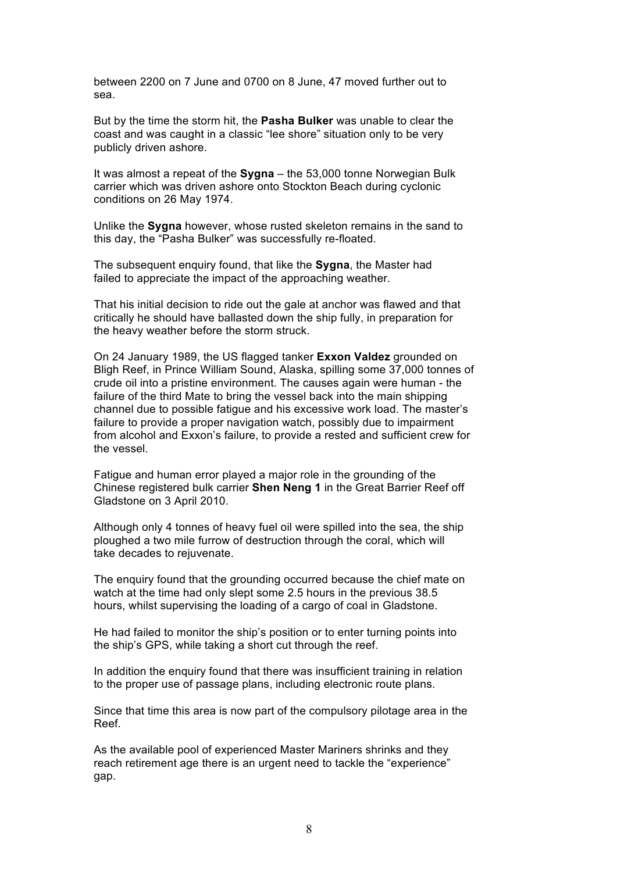between 2200 on 7 June and 0700 on 8 June, 47 moved further out to sea.

But by the time the storm hit, the **Pasha Bulker** was unable to clear the coast and was caught in a classic "lee shore" situation only to be very publicly driven ashore.

It was almost a repeat of the **Sygna** – the 53,000 tonne Norwegian Bulk carrier which was driven ashore onto Stockton Beach during cyclonic conditions on 26 May 1974.

Unlike the **Sygna** however, whose rusted skeleton remains in the sand to this day, the "Pasha Bulker" was successfully re-floated.

The subsequent enquiry found, that like the **Sygna**, the Master had failed to appreciate the impact of the approaching weather.

That his initial decision to ride out the gale at anchor was flawed and that critically he should have ballasted down the ship fully, in preparation for the heavy weather before the storm struck.

On 24 January 1989, the US flagged tanker **Exxon Valdez** grounded on Bligh Reef, in Prince William Sound, Alaska, spilling some 37,000 tonnes of crude oil into a pristine environment. The causes again were human - the failure of the third Mate to bring the vessel back into the main shipping channel due to possible fatigue and his excessive work load. The master's failure to provide a proper navigation watch, possibly due to impairment from alcohol and Exxon's failure, to provide a rested and sufficient crew for the vessel.

Fatigue and human error played a major role in the grounding of the Chinese registered bulk carrier **Shen Neng 1** in the Great Barrier Reef off Gladstone on 3 April 2010.

Although only 4 tonnes of heavy fuel oil were spilled into the sea, the ship ploughed a two mile furrow of destruction through the coral, which will take decades to rejuvenate.

The enquiry found that the grounding occurred because the chief mate on watch at the time had only slept some 2.5 hours in the previous 38.5 hours, whilst supervising the loading of a cargo of coal in Gladstone.

He had failed to monitor the ship's position or to enter turning points into the ship's GPS, while taking a short cut through the reef.

In addition the enquiry found that there was insufficient training in relation to the proper use of passage plans, including electronic route plans.

Since that time this area is now part of the compulsory pilotage area in the Reef.

As the available pool of experienced Master Mariners shrinks and they reach retirement age there is an urgent need to tackle the "experience" gap.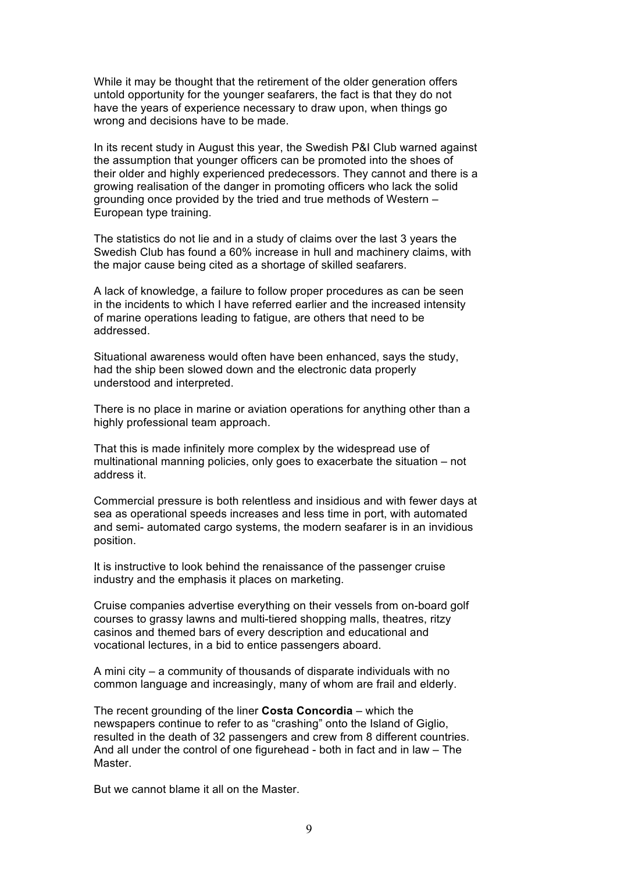While it may be thought that the retirement of the older generation offers untold opportunity for the younger seafarers, the fact is that they do not have the years of experience necessary to draw upon, when things go wrong and decisions have to be made.

In its recent study in August this year, the Swedish P&I Club warned against the assumption that younger officers can be promoted into the shoes of their older and highly experienced predecessors. They cannot and there is a growing realisation of the danger in promoting officers who lack the solid grounding once provided by the tried and true methods of Western – European type training.

The statistics do not lie and in a study of claims over the last 3 years the Swedish Club has found a 60% increase in hull and machinery claims, with the major cause being cited as a shortage of skilled seafarers.

A lack of knowledge, a failure to follow proper procedures as can be seen in the incidents to which I have referred earlier and the increased intensity of marine operations leading to fatigue, are others that need to be addressed.

Situational awareness would often have been enhanced, says the study, had the ship been slowed down and the electronic data properly understood and interpreted.

There is no place in marine or aviation operations for anything other than a highly professional team approach.

That this is made infinitely more complex by the widespread use of multinational manning policies, only goes to exacerbate the situation – not address it.

Commercial pressure is both relentless and insidious and with fewer days at sea as operational speeds increases and less time in port, with automated and semi- automated cargo systems, the modern seafarer is in an invidious position.

It is instructive to look behind the renaissance of the passenger cruise industry and the emphasis it places on marketing.

Cruise companies advertise everything on their vessels from on-board golf courses to grassy lawns and multi-tiered shopping malls, theatres, ritzy casinos and themed bars of every description and educational and vocational lectures, in a bid to entice passengers aboard.

A mini city – a community of thousands of disparate individuals with no common language and increasingly, many of whom are frail and elderly.

The recent grounding of the liner **Costa Concordia** – which the newspapers continue to refer to as "crashing" onto the Island of Giglio, resulted in the death of 32 passengers and crew from 8 different countries. And all under the control of one figurehead - both in fact and in law – The **Master** 

But we cannot blame it all on the Master.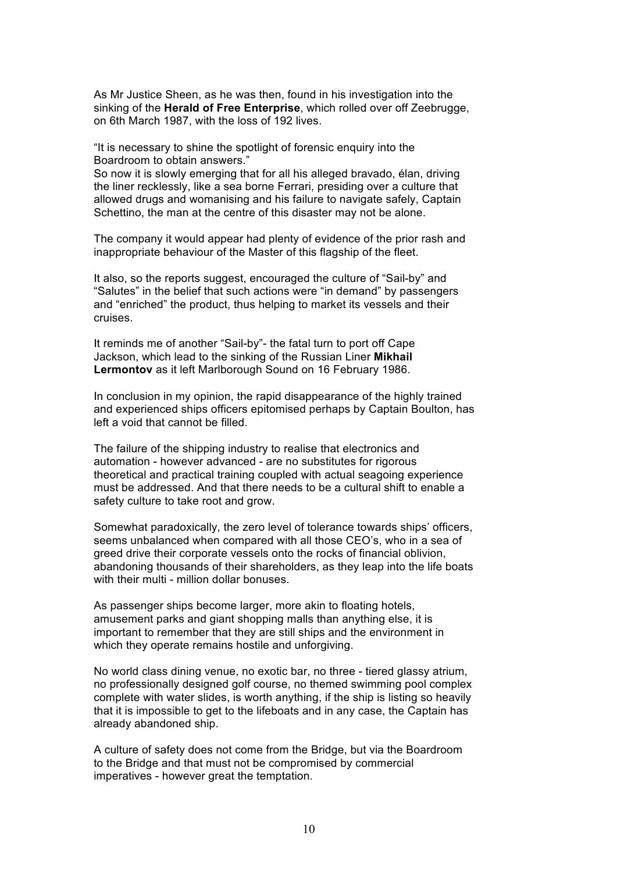As Mr Justice Sheen, as he was then, found in his investigation into the sinking of the **Herald of Free Enterprise**, which rolled over off Zeebrugge, on 6th March 1987, with the loss of 192 lives.

"It is necessary to shine the spotlight of forensic enquiry into the Boardroom to obtain answers."

So now it is slowly emerging that for all his alleged bravado, élan, driving the liner recklessly, like a sea borne Ferrari, presiding over a culture that allowed drugs and womanising and his failure to navigate safely, Captain Schettino, the man at the centre of this disaster may not be alone.

The company it would appear had plenty of evidence of the prior rash and inappropriate behaviour of the Master of this flagship of the fleet.

It also, so the reports suggest, encouraged the culture of "Sail-by" and "Salutes" in the belief that such actions were "in demand" by passengers and "enriched" the product, thus helping to market its vessels and their cruises.

It reminds me of another "Sail-by"- the fatal turn to port off Cape Jackson, which lead to the sinking of the Russian Liner **Mikhail Lermontov** as it left Marlborough Sound on 16 February 1986.

In conclusion in my opinion, the rapid disappearance of the highly trained and experienced ships officers epitomised perhaps by Captain Boulton, has left a void that cannot be filled.

The failure of the shipping industry to realise that electronics and automation - however advanced - are no substitutes for rigorous theoretical and practical training coupled with actual seagoing experience must be addressed. And that there needs to be a cultural shift to enable a safety culture to take root and grow.

Somewhat paradoxically, the zero level of tolerance towards ships' officers, seems unbalanced when compared with all those CEO's, who in a sea of greed drive their corporate vessels onto the rocks of financial oblivion, abandoning thousands of their shareholders, as they leap into the life boats with their multi - million dollar bonuses.

As passenger ships become larger, more akin to floating hotels, amusement parks and giant shopping malls than anything else, it is important to remember that they are still ships and the environment in which they operate remains hostile and unforgiving.

No world class dining venue, no exotic bar, no three - tiered glassy atrium, no professionally designed golf course, no themed swimming pool complex complete with water slides, is worth anything, if the ship is listing so heavily that it is impossible to get to the lifeboats and in any case, the Captain has already abandoned ship.

A culture of safety does not come from the Bridge, but via the Boardroom to the Bridge and that must not be compromised by commercial imperatives - however great the temptation.